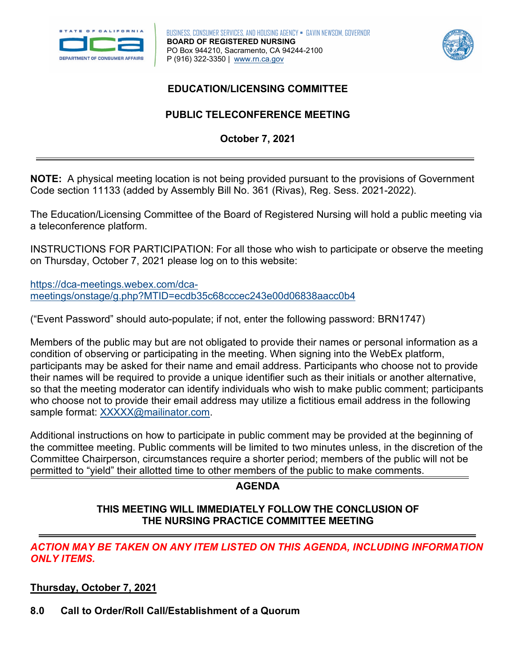



# **EDUCATION/LICENSING COMMITTEE**

# **PUBLIC TELECONFERENCE MEETING October 7, 2021**

 **NOTE:** A physical meeting location is not being provided pursuant to the provisions of Government Code section 11133 (added by Assembly Bill No. 361 (Rivas), Reg. Sess. 2021-2022).

 The Education/Licensing Committee of the Board of Registered Nursing will hold a public meeting via a teleconference platform.

 on Thursday, October 7, 2021 please log on to this website: INSTRUCTIONS FOR PARTICIPATION: For all those who wish to participate or observe the meeting

[https://dca-meetings.webex.com/dca](https://dca-meetings.webex.com/dca-meetings/onstage/g.php?MTID=ecdb35c68cccec243e00d06838aacc0b4)[meetings/onstage/g.php?MTID=ecdb35c68cccec243e00d06838aacc0b4](https://dca-meetings.webex.com/dca-meetings/onstage/g.php?MTID=ecdb35c68cccec243e00d06838aacc0b4) 

("Event Password" should auto-populate; if not, enter the following password: BRN1747)

 Members of the public may but are not obligated to provide their names or personal information as a condition of observing or participating in the meeting. When signing into the WebEx platform, participants may be asked for their name and email address. Participants who choose not to provide their names will be required to provide a unique identifier such as their initials or another alternative, so that the meeting moderator can identify individuals who wish to make public comment; participants who choose not to provide their email address may utilize a fictitious email address in the following sample format: [XXXXX@mailinator.com.](mailto:XXXXX@mailinator.com)

 Committee Chairperson, circumstances require a shorter period; members of the public will not be Additional instructions on how to participate in public comment may be provided at the beginning of the committee meeting. Public comments will be limited to two minutes unless, in the discretion of the permitted to "yield" their allotted time to other members of the public to make comments.

### **AGENDA**

#### **THIS MEETING WILL IMMEDIATELY FOLLOW THE CONCLUSION OF THE NURSING PRACTICE COMMITTEE MEETING**

*ACTION MAY BE TAKEN ON ANY ITEM LISTED ON THIS AGENDA, INCLUDING INFORMATION ONLY ITEMS.* 

**Thursday, October 7, 2021** 

**8.0 Call to Order/Roll Call/Establishment of a Quorum**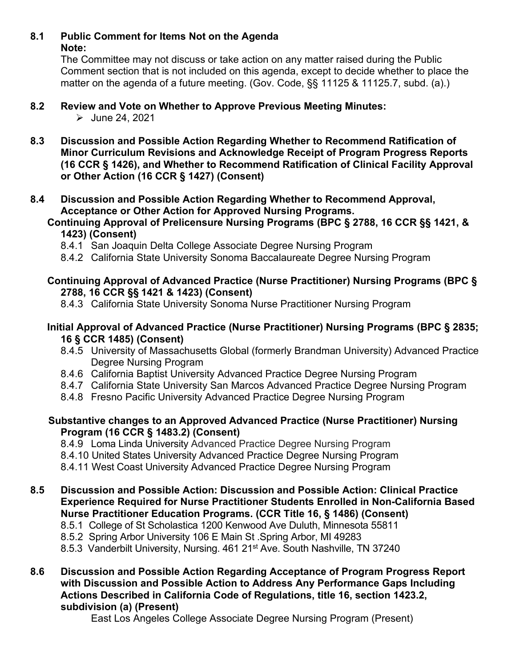#### **8.1 Public Comment for Items Not on the Agenda Note:**

The Committee may not discuss or take action on any matter raised during the Public Comment section that is not included on this agenda, except to decide whether to place the matter on the agenda of a future meeting. (Gov. Code, §§ 11125 & 11125.7, subd. (a).)

#### $8.2$ **8.2 Review and Vote on Whether to Approve Previous Meeting Minutes:**

 $\triangleright$  June 24, 2021

 **(16 CCR § 1426), and Whether to Recommend Ratification of Clinical Facility Approval 8.3 Discussion and Possible Action Regarding Whether to Recommend Ratification of Minor Curriculum Revisions and Acknowledge Receipt of Program Progress Reports or Other Action (16 CCR § 1427) (Consent)** 

#### **8.4 Discussion and Possible Action Regarding Whether to Recommend Approval, Acceptance or Other Action for Approved Nursing Programs.**

#### **Continuing Approval of Prelicensure Nursing Programs (BPC § 2788, 16 CCR §§ 1421, & 1423) (Consent)**

- 8.4.1 San Joaquin Delta College Associate Degree Nursing Program
- 8.4.2 California State University Sonoma Baccalaureate Degree Nursing Program

# **2788, 16 CCR §§ 1421 & 1423) (Consent) Continuing Approval of Advanced Practice (Nurse Practitioner) Nursing Programs (BPC §**

8.4.3 California State University Sonoma Nurse Practitioner Nursing Program

# **16 § CCR 1485) (Consent) Initial Approval of Advanced Practice (Nurse Practitioner) Nursing Programs (BPC § 2835;**

- 8.4.5 University of Massachusetts Global (formerly Brandman University) Advanced Practice Degree Nursing Program
- 8.4.6 California Baptist University Advanced Practice Degree Nursing Program
- 8.4.7 California State University San Marcos Advanced Practice Degree Nursing Program
- 8.4.8 Fresno Pacific University Advanced Practice Degree Nursing Program

# **Substantive changes to an Approved Advanced Practice (Nurse Practitioner) Nursing Program (16 CCR § 1483.2) (Consent)**

8.4.9 Loma Linda University Advanced Practice Degree Nursing Program

8.4.10 United States University Advanced Practice Degree Nursing Program

 8.4.10 United States University Advanced Practice Degree Nursing Program 8.4.11 West Coast University Advanced Practice Degree Nursing Program

# **Nurse Practitioner Education Programs. (CCR Title 16, § 1486) (Consent) 8.5 Discussion and Possible Action: Discussion and Possible Action: Clinical Practice Experience Required for Nurse Practitioner Students Enrolled in Non-California Based**

- 8.5.1 College of St Scholastica 1200 Kenwood Ave Duluth, Minnesota 55811
- 8.5.2 Spring Arbor University 106 E Main St .Spring Arbor, MI 49283

8.5.3 Vanderbilt University, Nursing. 461 21<sup>st</sup> Ave. South Nashville, TN 37240

**8.6 Discussion and Possible Action Regarding Acceptance of Program Progress Report with Discussion and Possible Action to Address Any Performance Gaps Including Actions Described in California Code of Regulations, title 16, section 1423.2, subdivision (a) (Present)**

East Los Angeles College Associate Degree Nursing Program (Present)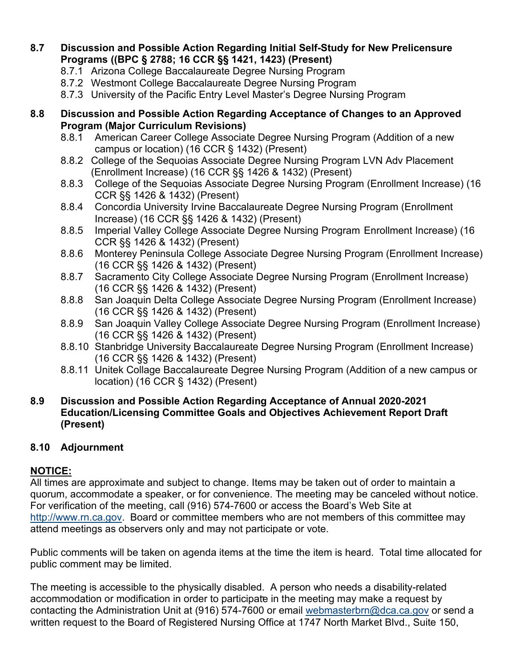#### **Programs ((BPC § 2788; 16 CCR §§ 1421, 1423) (Present) 8.7 Discussion and Possible Action Regarding Initial Self-Study for New Prelicensure**

- 8.7.1 Arizona College Baccalaureate Degree Nursing Program
- 8.7.2 Westmont College Baccalaureate Degree Nursing Program
- 8.7.3 University of the Pacific Entry Level Master's Degree Nursing Program

#### **8.8 Discussion and Possible Action Regarding Acceptance of Changes to an Approved Program (Major Curriculum Revisions)**

- 8.8.1 American Career College Associate Degree Nursing Program (Addition of a new campus or location) (16 CCR § 1432) (Present)
- 8.8.2 College of the Sequoias Associate Degree Nursing Program LVN Adv Placement (Enrollment Increase) (16 CCR §§ 1426 & 1432) (Present)
- 8.8.3 College of the Sequoias Associate Degree Nursing Program (Enrollment Increase) (16 CCR §§ 1426 & 1432) (Present)
- Increase) (16 CCR §§ 1426 & 1432) (Present) 8.8.4 Concordia University Irvine Baccalaureate Degree Nursing Program (Enrollment
- 8.8.5 Imperial Valley College Associate Degree Nursing Program Enrollment Increase) (16 CCR §§ 1426 & 1432) (Present)
- 8.8.6 Monterey Peninsula College Associate Degree Nursing Program (Enrollment Increase) (16 CCR §§ 1426 & 1432) (Present)
- 8.8.7 Sacramento City College Associate Degree Nursing Program (Enrollment Increase) (16 CCR §§ 1426 & 1432) (Present)
- 8.8.8 San Joaquin Delta College Associate Degree Nursing Program (Enrollment Increase) (16 CCR §§ 1426 & 1432) (Present)
- 8.8.9 San Joaquin Valley College Associate Degree Nursing Program (Enrollment Increase) (16 CCR §§ 1426 & 1432) (Present)
- 8.8.10 Stanbridge University Baccalaureate Degree Nursing Program (Enrollment Increase) (16 CCR §§ 1426 & 1432) (Present)
- 8.8.11 Unitek Collage Baccalaureate Degree Nursing Program (Addition of a new campus or location) (16 CCR § 1432) (Present)

#### **8.9 Discussion and Possible Action Regarding Acceptance of Annual 2020-2021 Education/Licensing Committee Goals and Objectives Achievement Report Draft (Present)**

# **8.10 Adjournment**

# **NOTICE:**

 [http://www.rn.ca.gov.](http://www.rn.ca.gov/) Board or committee members who are not members of this committee may attend meetings as observers only and may not participate or vote. All times are approximate and subject to change. Items may be taken out of order to maintain a quorum, accommodate a speaker, or for convenience. The meeting may be canceled without notice. For verification of the meeting, call (916) 574-7600 or access the Board's Web Site at

 Public comments will be taken on agenda items at the time the item is heard. Total time allocated for public comment may be limited.

 The meeting is accessible to the physically disabled. A person who needs a disability-related accommodation or modification in order to participate in the meeting may make a request by contacting the Administration Unit at (916) 574-7600 or email [webmasterbrn@dca.ca.gov](mailto:webmasterbrn@dca.ca.gov) or send a written request to the Board of Registered Nursing Office at 1747 North Market Blvd., Suite 150,